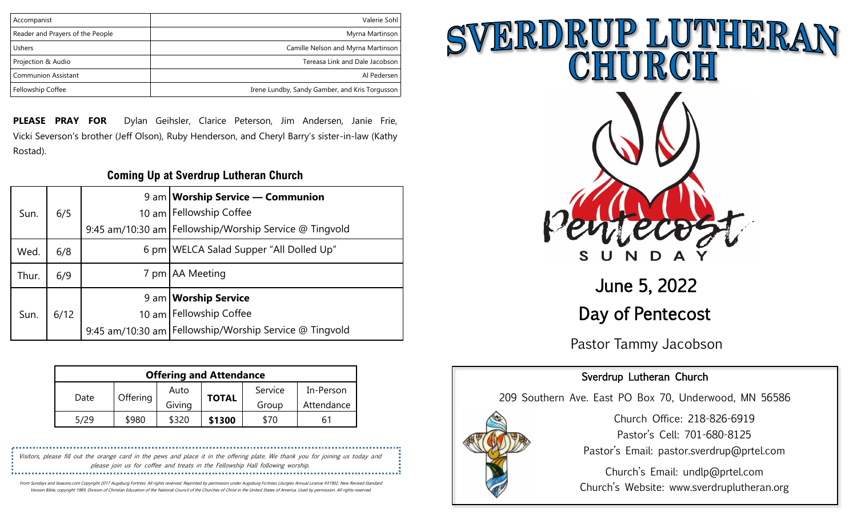| Accompanist                      | Valerie Sohl                                   |
|----------------------------------|------------------------------------------------|
| Reader and Prayers of the People | Myrna Martinson                                |
| <b>Ushers</b>                    | Camille Nelson and Myrna Martinson             |
| Projection & Audio               | Tereasa Link and Dale Jacobson                 |
| <b>Communion Assistant</b>       | Al Pedersen                                    |
| Fellowship Coffee                | Irene Lundby, Sandy Gamber, and Kris Torgusson |

**PLEASE PRAY FOR** Dylan Geihsler, Clarice Peterson, Jim Andersen, Janie Frie, Vicki Severson's brother (Jeff Olson), Ruby Henderson, and Cheryl Barry's sister-in-law (Kathy Rostad).

### **Coming Up at Sverdrup Lutheran Church**

|       |      |                 | 9 am   Worship Service — Communion                       |  |
|-------|------|-----------------|----------------------------------------------------------|--|
| Sun.  | 6/5  |                 | 10 am Fellowship Coffee                                  |  |
|       |      |                 | 9:45 am/10:30 am   Fellowship/Worship Service @ Tingvold |  |
| Wed.  | 6/8  |                 | 6 pm   WELCA Salad Supper "All Dolled Up"                |  |
| Thur. | 6/9  |                 | 7 pm   AA Meeting                                        |  |
|       |      |                 | 9 am   Worship Service                                   |  |
| Sun.  | 6/12 | $10 \text{ am}$ | Fellowship Coffee                                        |  |
|       |      |                 | 9:45 am/10:30 am   Fellowship/Worship Service @ Tingvold |  |

| <b>Offering and Attendance</b> |          |        |              |         |            |  |
|--------------------------------|----------|--------|--------------|---------|------------|--|
| Date                           | Offering | Auto   | <b>TOTAL</b> | Service | In-Person  |  |
|                                |          | Giving |              | Group   | Attendance |  |
| 5/29                           | \$980    | \$320  | \$1300       | \$70    | 61         |  |

Visitors, please fill out the orange card in the pews and place it in the offering plate. We thank you for joining us today and please join us for coffee and treats in the Fellowship Hall following worship. 

From Sundays and Seasons.com Copyright 2017 Augsburg Fortress. All rights reserved. Reprinted by permission under Augsburg Fortress Liturgies Annual License #31902. New Revised Standard Version Bible, copyright 1989, Division of Christian Education of the National Council of the Churches of Christ in the United States of America. Used by permission. All rights reserved.



Day of Pentecost

Pastor Tammy Jacobson

## Sverdrup Lutheran Church

209 Southern Ave. East PO Box 70, Underwood, MN 56586



Church Office: 218-826-6919 Pastor's Cell: 701-680-8125 Pastor's Email: pastor.sverdrup@prtel.com

Church's Email: undlp@prtel.com Church's Website: www.sverdruplutheran.org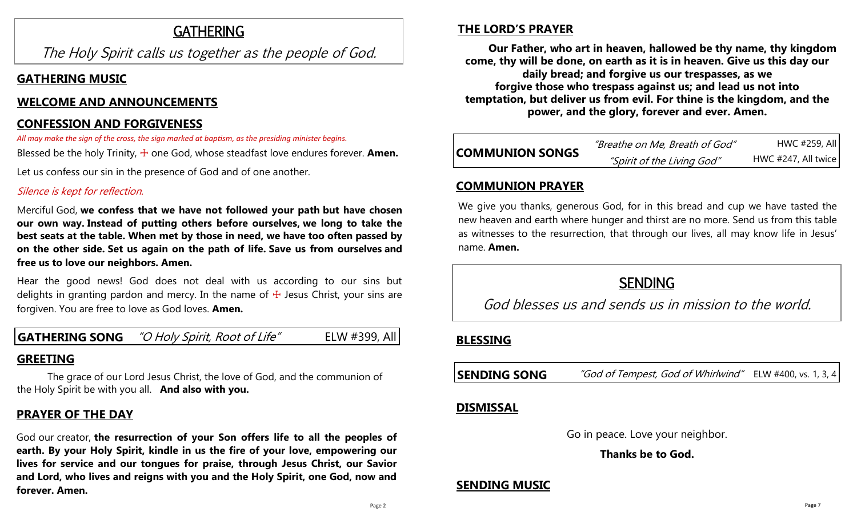# **GATHERING**

The Holy Spirit calls us together as the people of God.

## **GATHERING MUSIC**

## **WELCOME AND ANNOUNCEMENTS**

## **CONFESSION AND FORGIVENESS**

*All may make the sign of the cross, the sign marked at baptism, as the presiding minister begins.*

Blessed be the holy Trinity,  $\pm$  one God, whose steadfast love endures forever. **Amen.** 

Let us confess our sin in the presence of God and of one another.

### Silence is kept for reflection.

Merciful God, **we confess that we have not followed your path but have chosen our own way. Instead of putting others before ourselves, we long to take the best seats at the table. When met by those in need, we have too often passed by on the other side. Set us again on the path of life. Save us from ourselves and free us to love our neighbors. Amen.**

Hear the good news! God does not deal with us according to our sins but delights in granting pardon and mercy. In the name of  $+$  Jesus Christ, your sins are forgiven. You are free to love as God loves. **Amen.**

## **GATHERING SONG** "O Holy Spirit, Root of Life" ELW #399, All

## **GREETING**

The grace of our Lord Jesus Christ, the love of God, and the communion of the Holy Spirit be with you all. **And also with you.**

## **PRAYER OF THE DAY**

God our creator, **the resurrection of your Son offers life to all the peoples of earth. By your Holy Spirit, kindle in us the fire of your love, empowering our lives for service and our tongues for praise, through Jesus Christ, our Savior and Lord, who lives and reigns with you and the Holy Spirit, one God, now and forever. Amen.**

## **THE LORD'S PRAYER**

**Our Father, who art in heaven, hallowed be thy name, thy kingdom come, thy will be done, on earth as it is in heaven. Give us this day our daily bread; and forgive us our trespasses, as we forgive those who trespass against us; and lead us not into temptation, but deliver us from evil. For thine is the kingdom, and the power, and the glory, forever and ever. Amen.**

| <b>COMMUNION SONGS</b> | "Breathe on Me, Breath of God" | HWC #259, All       |
|------------------------|--------------------------------|---------------------|
|                        | "Spirit of the Living God"     | HWC #247, All twice |

### **COMMUNION PRAYER**

We give you thanks, generous God, for in this bread and cup we have tasted the new heaven and earth where hunger and thirst are no more. Send us from this table as witnesses to the resurrection, that through our lives, all may know life in Jesus' name. **Amen.**

# SENDING

God blesses us and sends us in mission to the world.

## **BLESSING**

| <b>SENDING SONG</b> | "God of Tempest, God of Whirlwind" ELW #400, vs. 1, 3, 4 |  |
|---------------------|----------------------------------------------------------|--|
|---------------------|----------------------------------------------------------|--|

### **DISMISSAL**

Go in peace. Love your neighbor.

**Thanks be to God.**

## **SENDING MUSIC**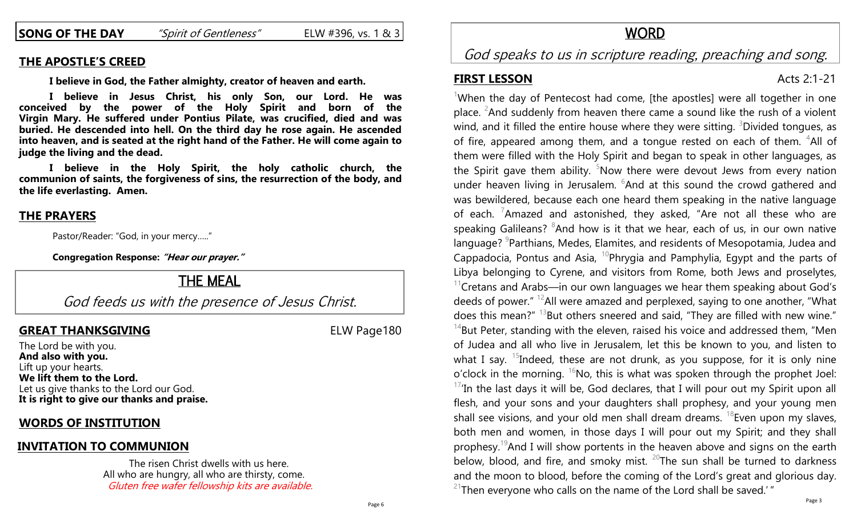**SONG OF THE DAY** *"Spirit of Gentleness"* ELW #396, vs. 1 & 3

### **THE APOSTLE'S CREED**

**I believe in God, the Father almighty, creator of heaven and earth.**

**I believe in Jesus Christ, his only Son, our Lord. He was conceived by the power of the Holy Spirit and born of the Virgin Mary. He suffered under Pontius Pilate, was crucified, died and was buried. He descended into hell. On the third day he rose again. He ascended into heaven, and is seated at the right hand of the Father. He will come again to judge the living and the dead.**

**I believe in the Holy Spirit, the holy catholic church, the communion of saints, the forgiveness of sins, the resurrection of the body, and the life everlasting. Amen.**

### **THE PRAYERS**

Pastor/Reader: "God, in your mercy….."

**Congregation Response: "Hear our prayer."**

## THE MEAL

God feeds us with the presence of Jesus Christ.

### **GREAT THANKSGIVING** ELW Page180

The Lord be with you. **And also with you.** Lift up your hearts. **We lift them to the Lord.** Let us give thanks to the Lord our God. **It is right to give our thanks and praise.**

### **WORDS OF INSTITUTION**

### **INVITATION TO COMMUNION**

The risen Christ dwells with us here. All who are hungry, all who are thirsty, come. Gluten free wafer fellowship kits are available.

# God speaks to us in scripture reading, preaching and song.

### **FIRST LESSON** Acts 2:1-21

<sup>1</sup>When the day of Pentecost had come, [the apostles] were all together in one place. <sup>2</sup>And suddenly from heaven there came a sound like the rush of a violent wind, and it filled the entire house where they were sitting.  $3$ Divided tongues, as of fire, appeared among them, and a tongue rested on each of them.  $4$ All of them were filled with the Holy Spirit and began to speak in other languages, as the Spirit gave them ability.  $5Now$  there were devout Jews from every nation under heaven living in Jerusalem. <sup>6</sup>And at this sound the crowd gathered and was bewildered, because each one heard them speaking in the native language of each. <sup>7</sup>Amazed and astonished, they asked, "Are not all these who are speaking Galileans?  $8$ And how is it that we hear, each of us, in our own native language? <sup>9</sup>Parthians, Medes, Elamites, and residents of Mesopotamia, Judea and Cappadocia, Pontus and Asia,  $^{10}$ Phrygia and Pamphylia, Egypt and the parts of Libya belonging to Cyrene, and visitors from Rome, both Jews and proselytes,  $11$ Cretans and Arabs—in our own languages we hear them speaking about God's deeds of power."  $12$ All were amazed and perplexed, saying to one another, "What does this mean?"  $^{13}$ But others sneered and said, "They are filled with new wine."  $14$ But Peter, standing with the eleven, raised his voice and addressed them, "Men of Judea and all who live in Jerusalem, let this be known to you, and listen to what I say. <sup>15</sup>Indeed, these are not drunk, as you suppose, for it is only nine o'clock in the morning.  ${}^{16}$ No, this is what was spoken through the prophet Joel:  $17$ 'In the last days it will be, God declares, that I will pour out my Spirit upon all flesh, and your sons and your daughters shall prophesy, and your young men shall see visions, and your old men shall dream dreams.  $18$  Even upon my slaves, both men and women, in those days I will pour out my Spirit; and they shall prophesy.<sup>19</sup>And I will show portents in the heaven above and signs on the earth below, blood, and fire, and smoky mist.  $20$ The sun shall be turned to darkness and the moon to blood, before the coming of the Lord's great and glorious day.  $21$ Then everyone who calls on the name of the Lord shall be saved.'"